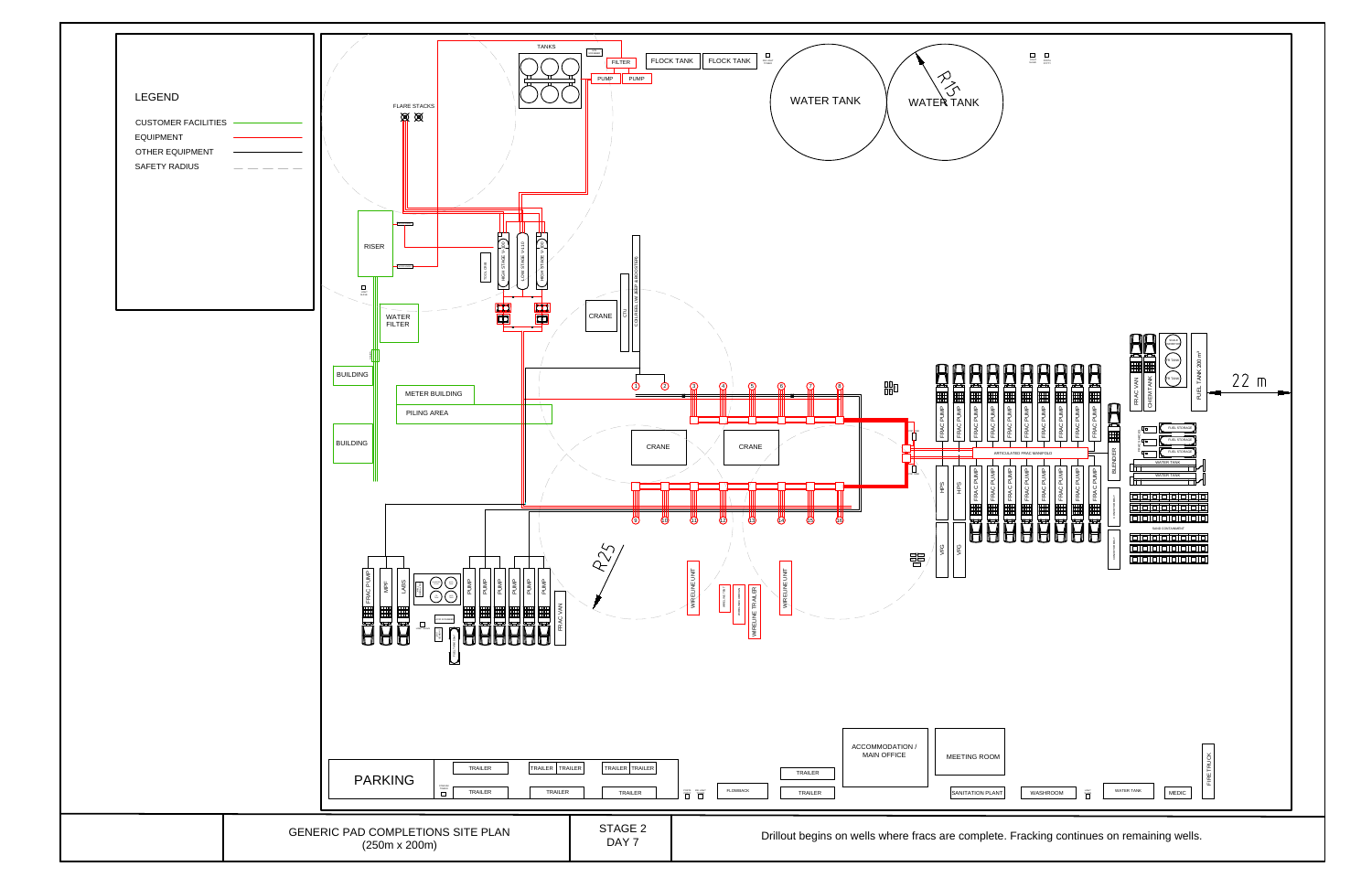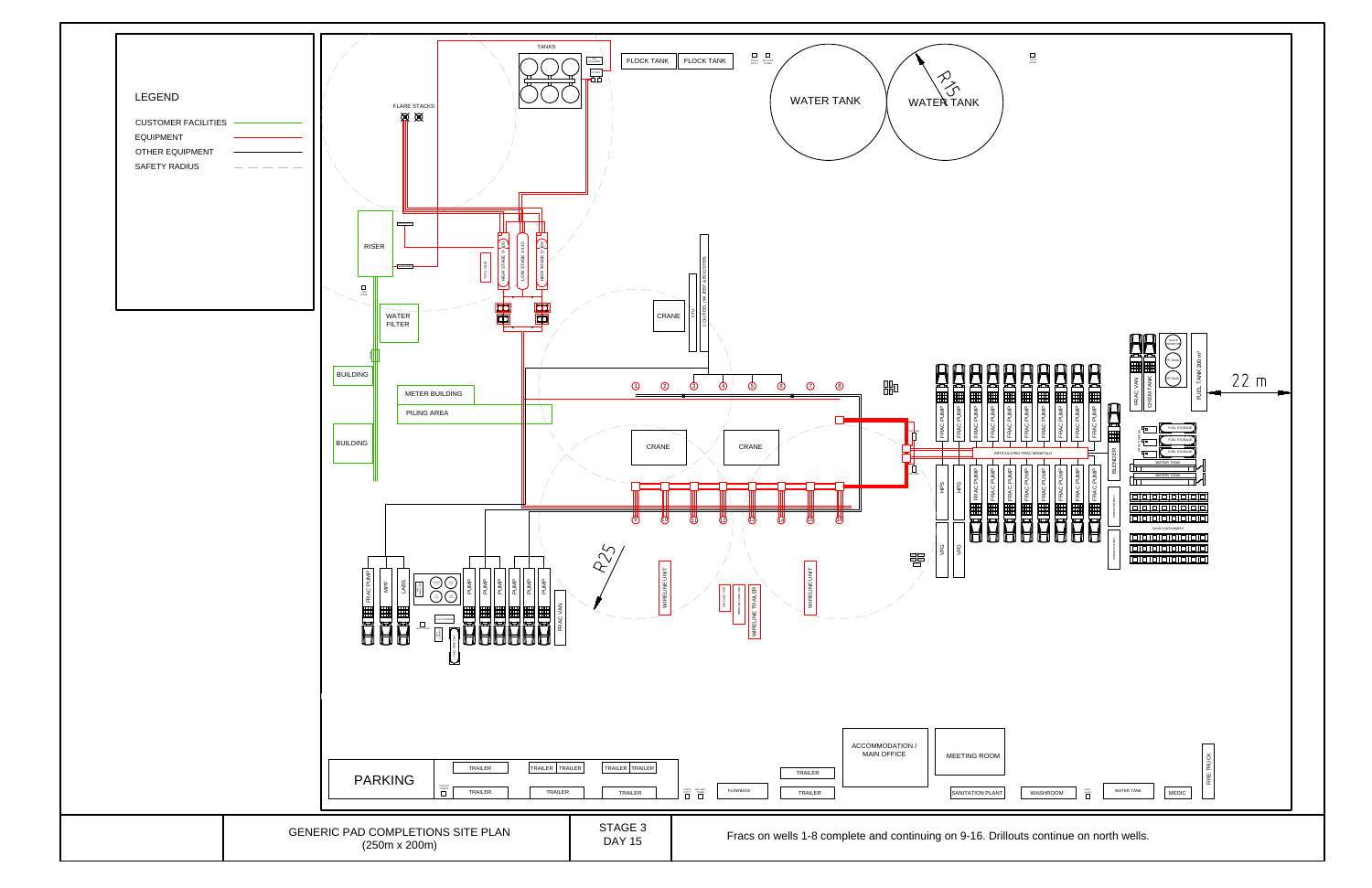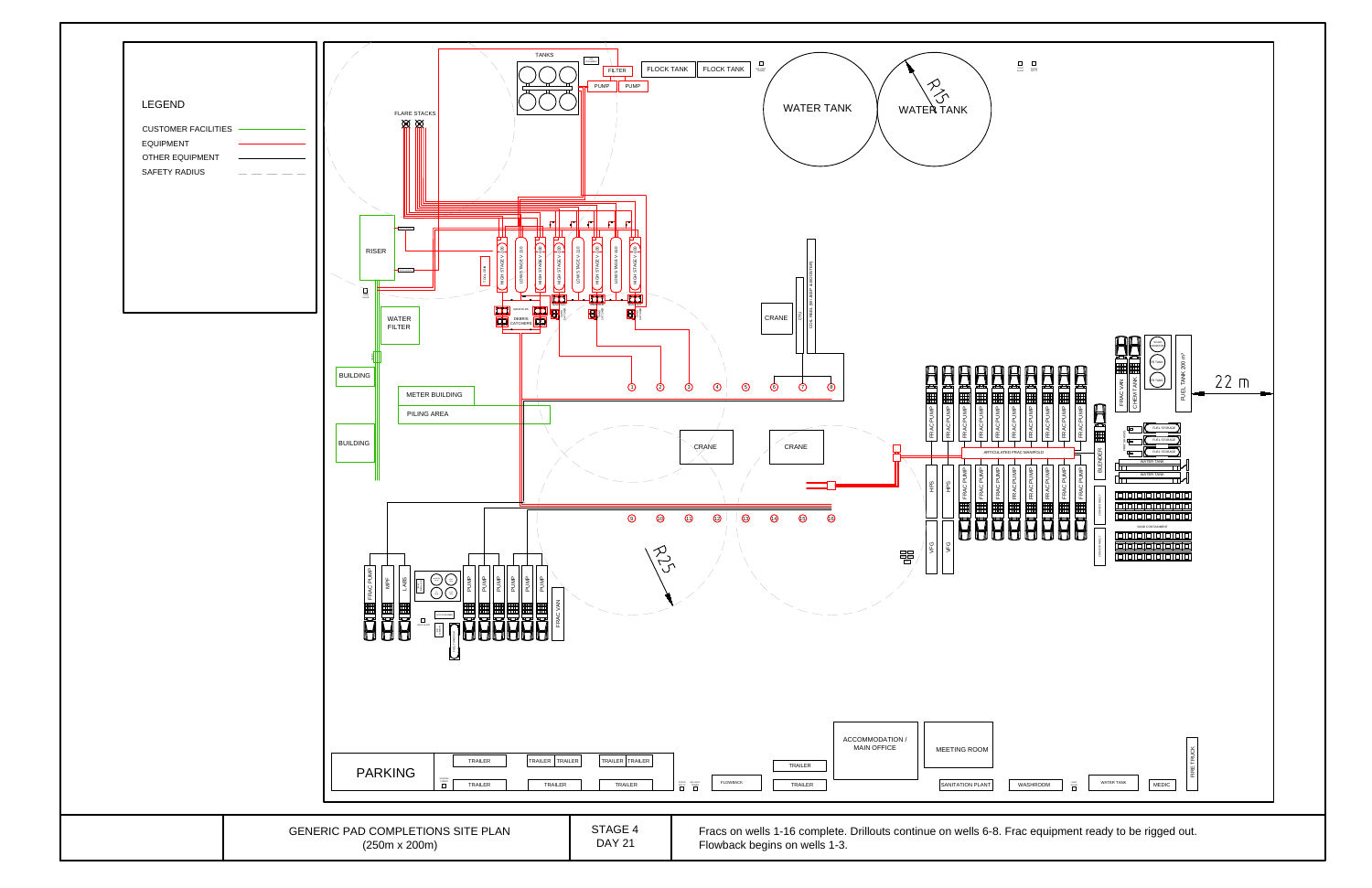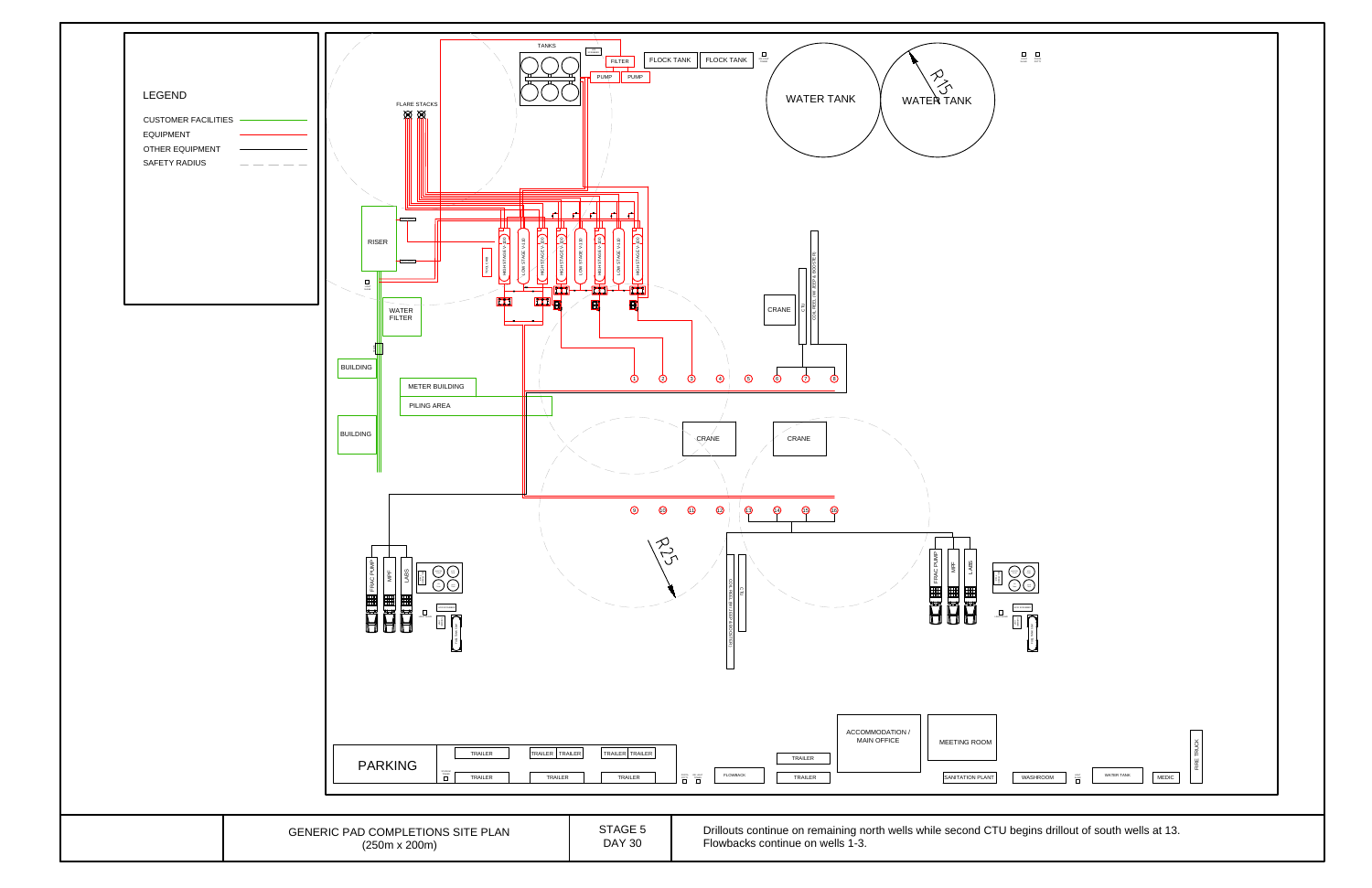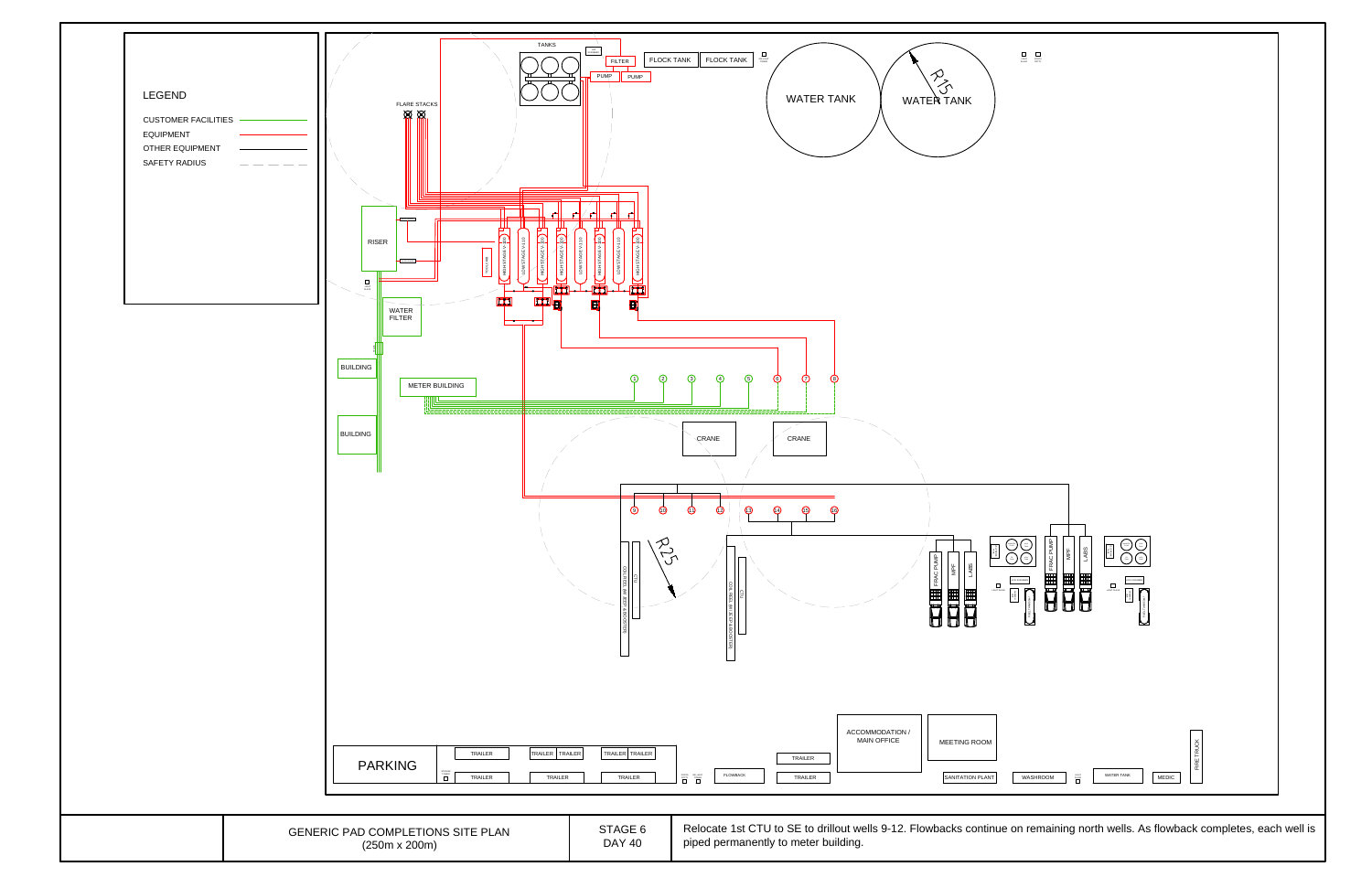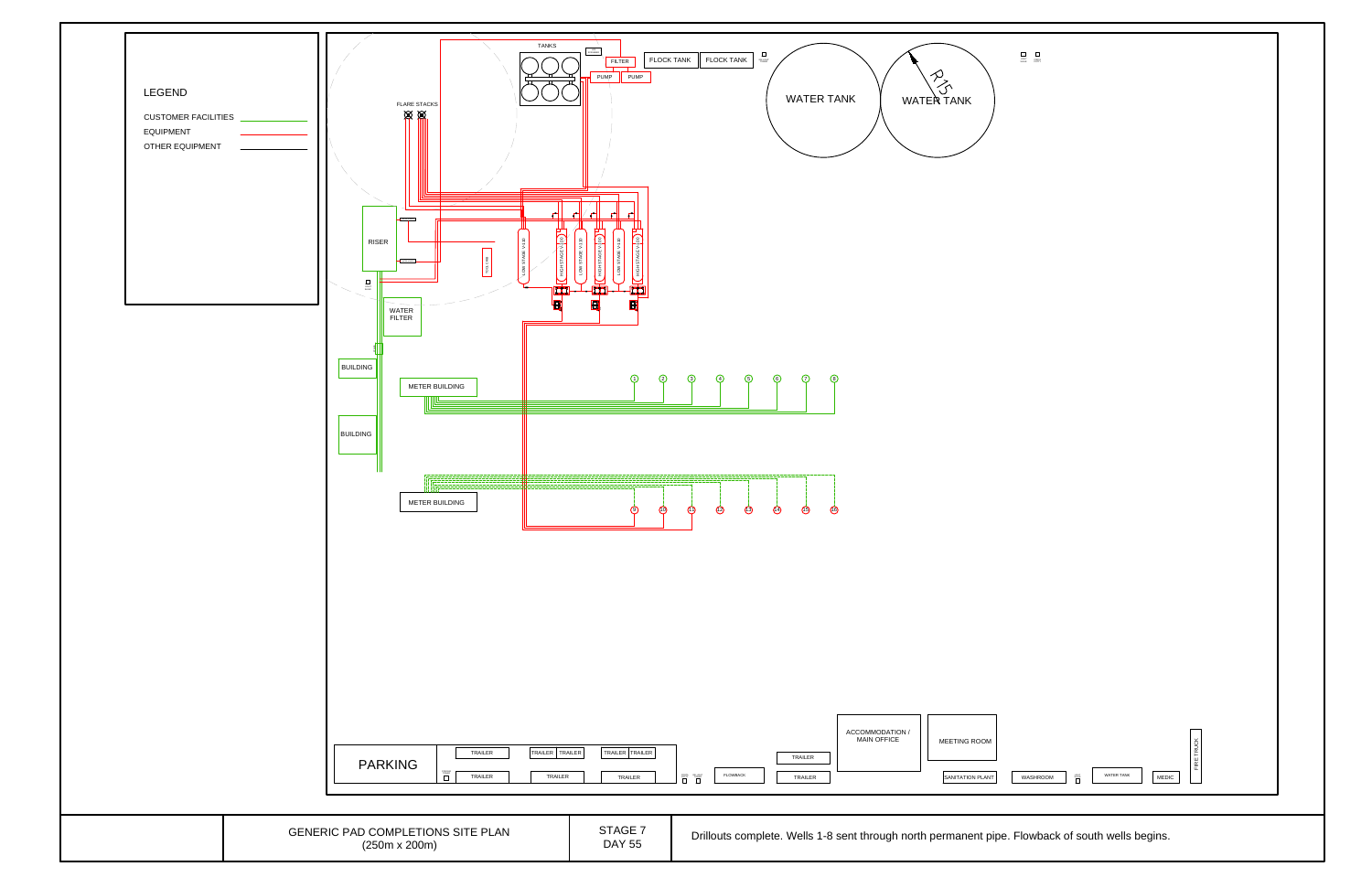